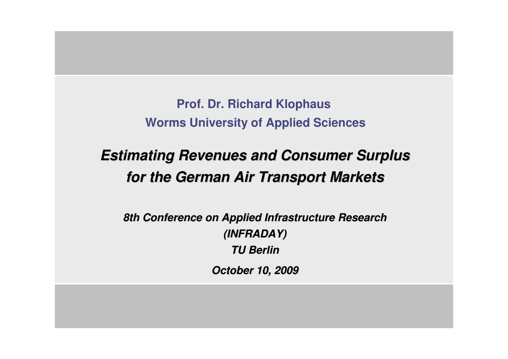**Prof. Dr. Richard Klophaus Worms University of Applied Sciences**

# **Estimating Revenues and Consumer Surplus for the German Air Transport Markets**

**8th Conference on Applied Infrastructure Research (INFRADAY)TU Berlin** 

**October 10, 2009**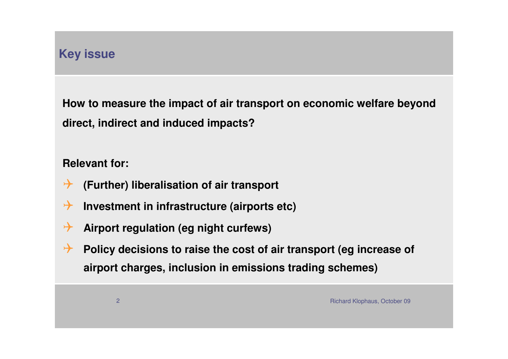# **Key issue**

**How to measure the impact of air transport on economic welfare beyond direct, indirect and induced impacts?**

#### **Relevant for:**

- $\rightarrow$ **(Further) liberalisation of air transport**
- $\rightarrow$ **Investment in infrastructure (airports etc)**
- $\rightarrow$ **Airport regulation (eg night curfews)**
- $\rightarrow$  **Policy decisions to raise the cost of air transport (eg increase of airport charges, inclusion in emissions trading schemes)**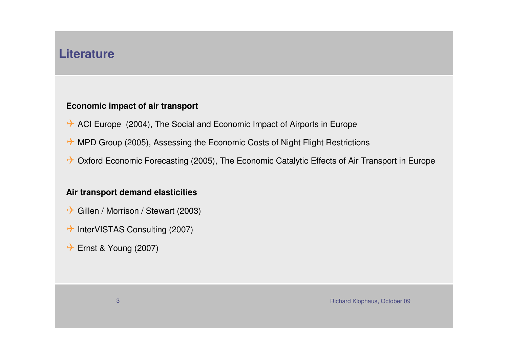### **Literature**

#### **Economic impact of air transport**

- ACI Europe (2004), The Social and Economic Impact of Airports in Europe
- → MPD Group (2005), Assessing the Economic Costs of Night Flight Restrictions
- → Oxford Economic Forecasting (2005), The Economic Catalytic Effects of Air Transport in Europe

#### **Air transport demand elasticities**

- → Gillen / Morrison / Stewart (2003)
- → InterVISTAS Consulting (2007)
- → Ernst & Young (2007)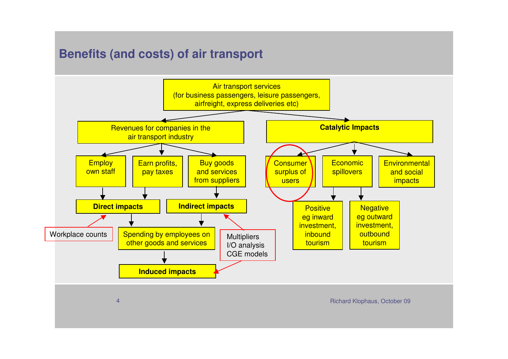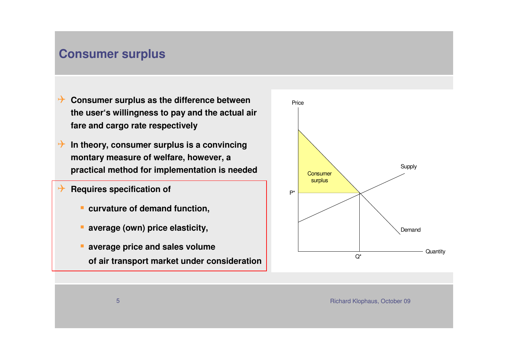### **Consumer surplus**

- <sup>1</sup> Consumer surplus as the difference between **the user's willingness to pay and the actual air fare and cargo rate respectively**
- **In theory, consumer surplus is a convincing**<br>**In an above measure of welfare** however a **montary measure of welfare, however, a practical method for implementation is needed**
- $\boldsymbol{\rightarrow}$  **Requires specification of** 
	- **E** curvature of demand function,
	- **average (own) price elasticity,**
	- **average price and sales volume of air transport market under consideration**

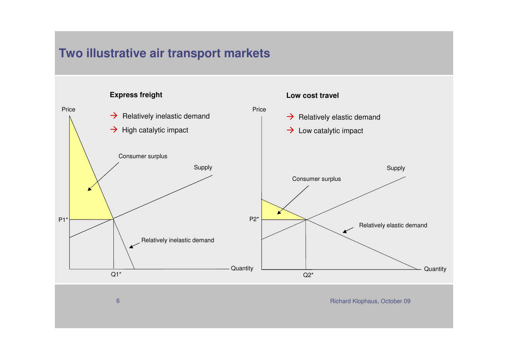### **Two illustrative air transport markets**

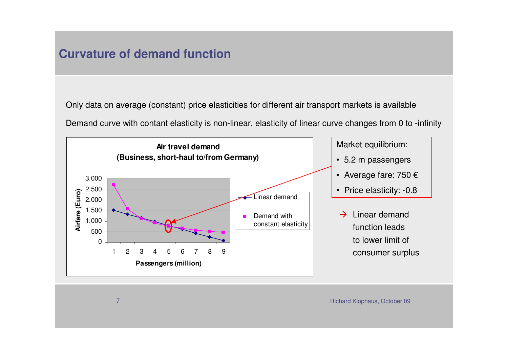### **Curvature of demand function**

Only data on average (constant) price elasticities for different air transport markets is available

Demand curve with contant elasticity is non-linear, elasticity of linear curve changes from 0 to -infinity



Richard Klophaus, October <sup>09</sup>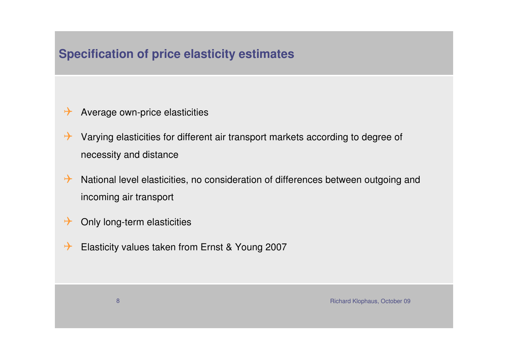# **Specification of price elasticity estimates**

- $\rightarrow$ Average own-price elasticities
- $\rightarrow$  Varying elasticities for different air transport markets according to degree of necessity and distance
- $\rightarrow$  National level elasticities, no consideration of differences between outgoing and incoming air transport
- $\rightarrow$ Only long-term elasticities
- $\rightarrow$ Elasticity values taken from Ernst & Young 2007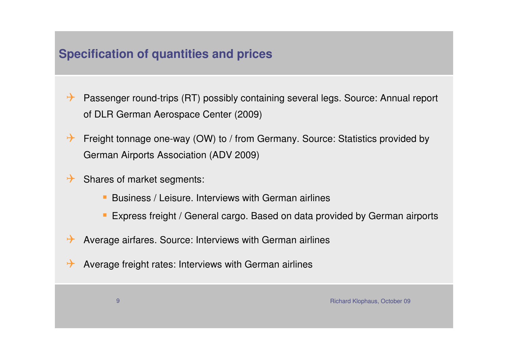# **Specification of quantities and prices**

- $\rightarrow$  Passenger round-trips (RT) possibly containing several legs. Source: Annual report of DLR German Aerospace Center (2009)
- $\rightarrow$  Freight tonnage one-way (OW) to / from Germany. Source: Statistics provided by German Airports Association (ADV 2009)
- $\rightarrow$  Shares of market segments:
	- **Business / Leisure. Interviews with German airlines**
	- Express freight / General cargo. Based on data provided by German airports
- $\rightarrow$ Average airfares. Source: Interviews with German airlines
- $\rightarrow$ Average freight rates: Interviews with German airlines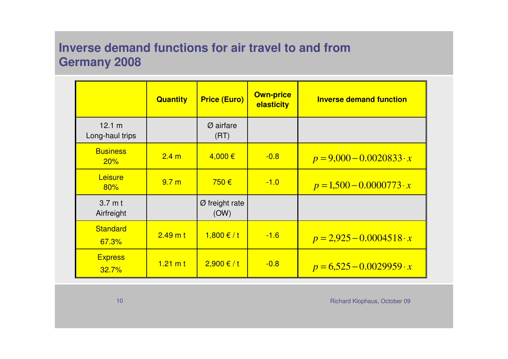# **Inverse demand functions for air travel to and from Germany 2008**

|                                 | <b>Quantity</b>    | <b>Price (Euro)</b>                | <b>Own-price</b><br>elasticity | <b>Inverse demand function</b>  |
|---------------------------------|--------------------|------------------------------------|--------------------------------|---------------------------------|
| 12.1 m<br>Long-haul trips       |                    | $\varnothing$ airfare<br>(RT)      |                                |                                 |
| <b>Business</b><br>20%          | 2.4 <sub>m</sub>   | $4,000 \in$                        | $-0.8$                         | $p = 9,000 - 0.0020833 \cdot x$ |
| Leisure<br>80%                  | 9.7 <sub>m</sub>   | 750€                               | $-1.0$                         | $p = 1,500 - 0.0000773 \cdot x$ |
| $3.7 \text{ m}$ t<br>Airfreight |                    | $\varnothing$ freight rate<br>(OW) |                                |                                 |
| <b>Standard</b><br>67.3%        | $2.49$ m t         | $1,800 \text{€ } / \text{t}$       | $-1.6$                         | $p = 2,925 - 0.0004518 \cdot x$ |
| <b>Express</b><br>32.7%         | $1.21 \text{ m t}$ | $2,900 \t f t$                     | $-0.8$                         | $p = 6,525 - 0.0029959 \cdot x$ |

Richard Klophaus, October <sup>09</sup>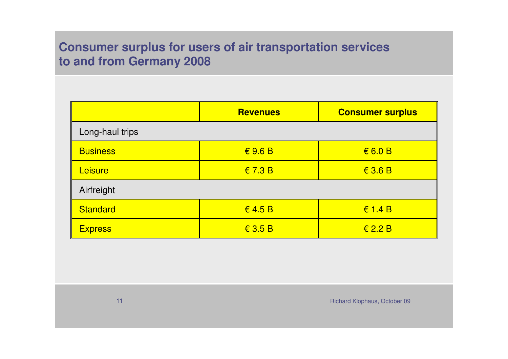# **Consumer surplus for users of air transportation services to and from Germany 2008**

|                 | <b>Revenues</b>                | <b>Consumer surplus</b>        |  |  |  |
|-----------------|--------------------------------|--------------------------------|--|--|--|
| Long-haul trips |                                |                                |  |  |  |
| <b>Business</b> | $\epsilon$ 9.6 B               | 6.0 B                          |  |  |  |
| Leisure         | $\in$ 7.3 B                    | $\textbf{\textsterling}$ 3.6 B |  |  |  |
| Airfreight      |                                |                                |  |  |  |
| Standard        | $\in$ 4.5 B                    | $\epsilon$ 1.4 B               |  |  |  |
| <b>Express</b>  | $\textbf{\textsterling}$ 3.5 B | $\textbf{\textsterling} 2.2 B$ |  |  |  |

Richard Klophaus, October <sup>09</sup>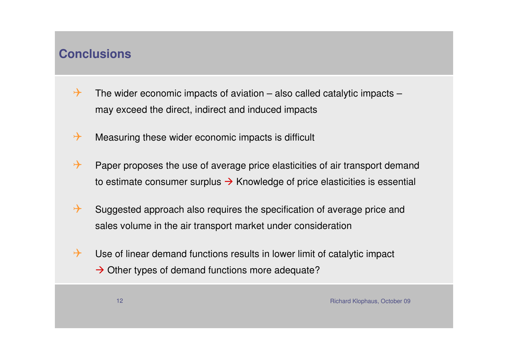## **Conclusions**

- $\rightarrow$  The wider economic impacts of aviation – also called catalytic impacts – may exceed the direct, indirect and induced impacts
- $\rightarrow$ Measuring these wider economic impacts is difficult
- $\rightarrow$  Paper proposes the use of average price elasticities of air transport demand to estimate consumer surplus  $\rightarrow$  Knowledge of price elasticities is essential
- $\rightarrow$  Suggested approach also requires the specification of average price and sales volume in the air transport market under consideration
- $\rightarrow$  Use of linear demand functions results in lower limit of catalytic impact  $\rightarrow$  Other types of demand functions more adequate?